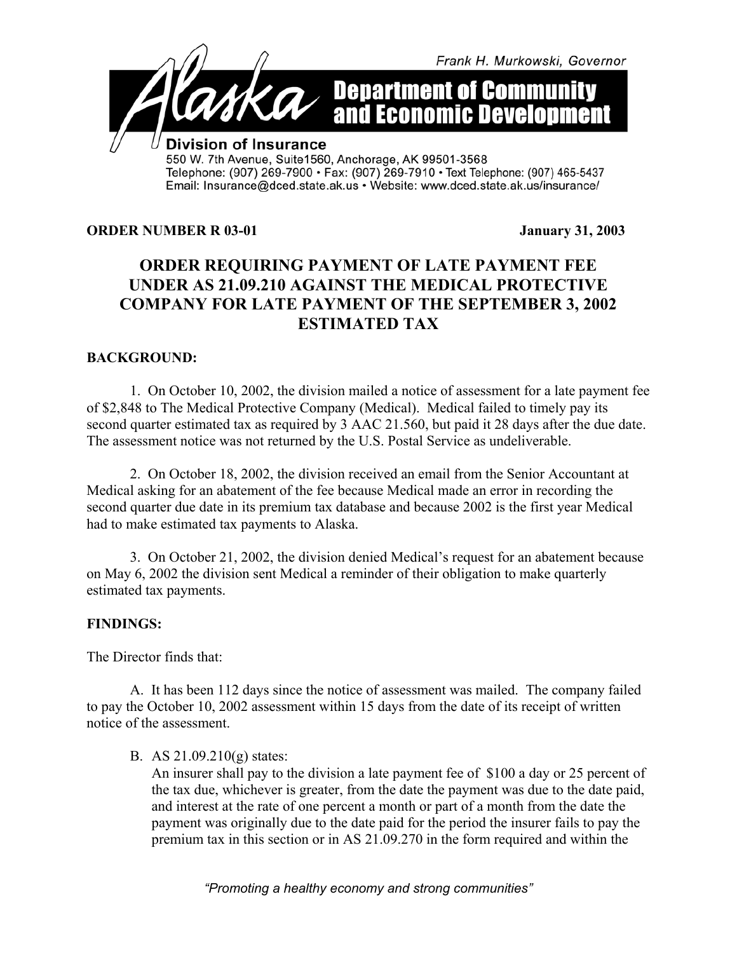

### **ORDER NUMBER R 03-01** January 31, 2003

# **ORDER REQUIRING PAYMENT OF LATE PAYMENT FEE UNDER AS 21.09.210 AGAINST THE MEDICAL PROTECTIVE COMPANY FOR LATE PAYMENT OF THE SEPTEMBER 3, 2002 ESTIMATED TAX**

## **BACKGROUND:**

1. On October 10, 2002, the division mailed a notice of assessment for a late payment fee of \$2,848 to The Medical Protective Company (Medical). Medical failed to timely pay its second quarter estimated tax as required by 3 AAC 21.560, but paid it 28 days after the due date. The assessment notice was not returned by the U.S. Postal Service as undeliverable.

2. On October 18, 2002, the division received an email from the Senior Accountant at Medical asking for an abatement of the fee because Medical made an error in recording the second quarter due date in its premium tax database and because 2002 is the first year Medical had to make estimated tax payments to Alaska.

3. On October 21, 2002, the division denied Medical's request for an abatement because on May 6, 2002 the division sent Medical a reminder of their obligation to make quarterly estimated tax payments.

#### **FINDINGS:**

The Director finds that:

A. It has been 112 days since the notice of assessment was mailed. The company failed to pay the October 10, 2002 assessment within 15 days from the date of its receipt of written notice of the assessment.

B. AS 21.09.210(g) states:

An insurer shall pay to the division a late payment fee of \$100 a day or 25 percent of the tax due, whichever is greater, from the date the payment was due to the date paid, and interest at the rate of one percent a month or part of a month from the date the payment was originally due to the date paid for the period the insurer fails to pay the premium tax in this section or in AS 21.09.270 in the form required and within the

*"Promoting a healthy economy and strong communities"*